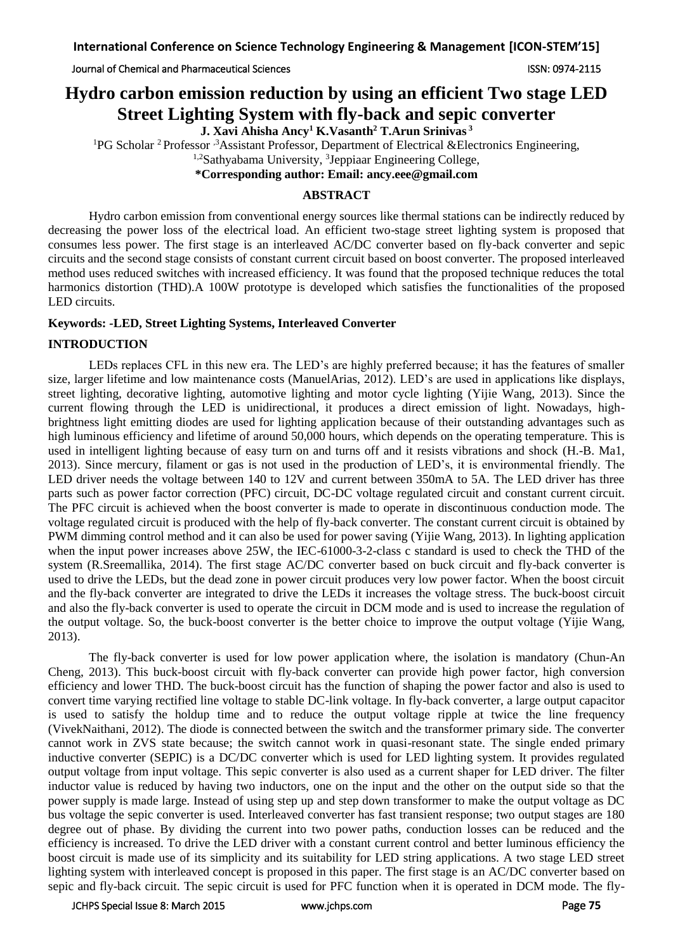Journal of Chemical and Pharmaceutical Sciences ISSN: 0974-2115

# **Hydro carbon emission reduction by using an efficient Two stage LED Street Lighting System with fly-back and sepic converter**

**J. Xavi Ahisha Ancy<sup>1</sup> K.Vasanth<sup>2</sup> T.Arun Srinivas <sup>3</sup>**

<sup>1</sup>PG Scholar <sup>2</sup> Professor <sup>3</sup>Assistant Professor, Department of Electrical &Electronics Engineering,

<sup>1,2</sup>Sathyabama University, <sup>3</sup>Jeppiaar Engineering College,

**\*Corresponding author: Email: ancy.eee@gmail.com**

## **ABSTRACT**

Hydro carbon emission from conventional energy sources like thermal stations can be indirectly reduced by decreasing the power loss of the electrical load. An efficient two-stage street lighting system is proposed that consumes less power. The first stage is an interleaved AC/DC converter based on fly-back converter and sepic circuits and the second stage consists of constant current circuit based on boost converter. The proposed interleaved method uses reduced switches with increased efficiency. It was found that the proposed technique reduces the total harmonics distortion (THD).A 100W prototype is developed which satisfies the functionalities of the proposed LED circuits.

## **Keywords:** *-***LED, Street Lighting Systems, Interleaved Converter**

## **INTRODUCTION**

LEDs replaces CFL in this new era. The LED's are highly preferred because; it has the features of smaller size, larger lifetime and low maintenance costs (ManuelArias, 2012). LED's are used in applications like displays, street lighting, decorative lighting, automotive lighting and motor cycle lighting (Yijie Wang, 2013). Since the current flowing through the LED is unidirectional, it produces a direct emission of light. Nowadays, highbrightness light emitting diodes are used for lighting application because of their outstanding advantages such as high luminous efficiency and lifetime of around 50,000 hours, which depends on the operating temperature. This is used in intelligent lighting because of easy turn on and turns off and it resists vibrations and shock (H.-B. Ma1, 2013). Since mercury, filament or gas is not used in the production of LED's, it is environmental friendly. The LED driver needs the voltage between 140 to 12V and current between 350mA to 5A. The LED driver has three parts such as power factor correction (PFC) circuit, DC-DC voltage regulated circuit and constant current circuit. The PFC circuit is achieved when the boost converter is made to operate in discontinuous conduction mode. The voltage regulated circuit is produced with the help of fly-back converter. The constant current circuit is obtained by PWM dimming control method and it can also be used for power saving (Yijie Wang, 2013). In lighting application when the input power increases above 25W, the IEC-61000-3-2-class c standard is used to check the THD of the system (R.Sreemallika, 2014). The first stage AC/DC converter based on buck circuit and fly-back converter is used to drive the LEDs, but the dead zone in power circuit produces very low power factor. When the boost circuit and the fly-back converter are integrated to drive the LEDs it increases the voltage stress. The buck-boost circuit and also the fly-back converter is used to operate the circuit in DCM mode and is used to increase the regulation of the output voltage. So, the buck-boost converter is the better choice to improve the output voltage (Yijie Wang, 2013).

The fly-back converter is used for low power application where, the isolation is mandatory (Chun-An Cheng, 2013). This buck-boost circuit with fly-back converter can provide high power factor, high conversion efficiency and lower THD. The buck-boost circuit has the function of shaping the power factor and also is used to convert time varying rectified line voltage to stable DC-link voltage. In fly-back converter, a large output capacitor is used to satisfy the holdup time and to reduce the output voltage ripple at twice the line frequency (VivekNaithani, 2012). The diode is connected between the switch and the transformer primary side. The converter cannot work in ZVS state because; the switch cannot work in quasi-resonant state. The single ended primary inductive converter (SEPIC) is a DC/DC converter which is used for LED lighting system. It provides regulated output voltage from input voltage. This sepic converter is also used as a current shaper for LED driver. The filter inductor value is reduced by having two inductors, one on the input and the other on the output side so that the power supply is made large. Instead of using step up and step down transformer to make the output voltage as DC bus voltage the sepic converter is used. Interleaved converter has fast transient response; two output stages are 180 degree out of phase. By dividing the current into two power paths, conduction losses can be reduced and the efficiency is increased. To drive the LED driver with a constant current control and better luminous efficiency the boost circuit is made use of its simplicity and its suitability for LED string applications. A two stage LED street lighting system with interleaved concept is proposed in this paper. The first stage is an AC/DC converter based on sepic and fly-back circuit. The sepic circuit is used for PFC function when it is operated in DCM mode. The fly-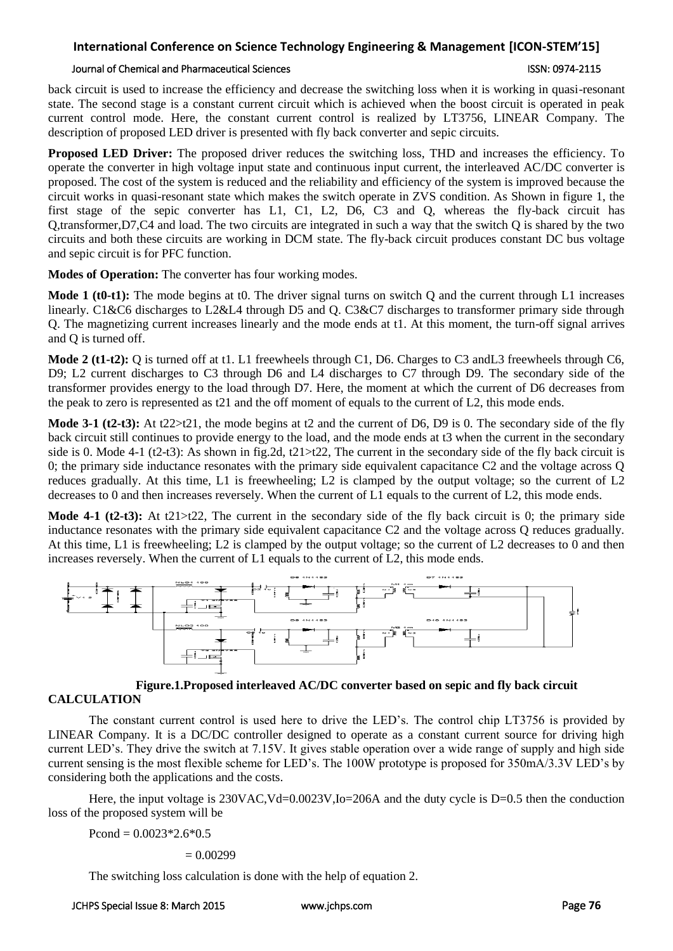## **International Conference on Science Technology Engineering & Management [ICON-STEM'15]**

### Journal of Chemical and Pharmaceutical Sciences ISSN: 0974-2115

back circuit is used to increase the efficiency and decrease the switching loss when it is working in quasi-resonant state. The second stage is a constant current circuit which is achieved when the boost circuit is operated in peak current control mode. Here, the constant current control is realized by LT3756, LINEAR Company. The description of proposed LED driver is presented with fly back converter and sepic circuits.

**Proposed LED Driver:** The proposed driver reduces the switching loss, THD and increases the efficiency. To operate the converter in high voltage input state and continuous input current, the interleaved AC/DC converter is proposed. The cost of the system is reduced and the reliability and efficiency of the system is improved because the circuit works in quasi-resonant state which makes the switch operate in ZVS condition. As Shown in figure 1, the first stage of the sepic converter has L1, C1, L2, D6, C3 and Q, whereas the fly-back circuit has Q,transformer,D7,C4 and load. The two circuits are integrated in such a way that the switch Q is shared by the two circuits and both these circuits are working in DCM state. The fly-back circuit produces constant DC bus voltage and sepic circuit is for PFC function.

**Modes of Operation:** The converter has four working modes.

**Mode 1 (t0-t1):** The mode begins at t0. The driver signal turns on switch Q and the current through L1 increases linearly. C1&C6 discharges to L2&L4 through D5 and Q. C3&C7 discharges to transformer primary side through Q. The magnetizing current increases linearly and the mode ends at t1. At this moment, the turn-off signal arrives and Q is turned off.

**Mode 2 (t1-t2):** Q is turned off at t1. L1 freewheels through C1, D6. Charges to C3 andL3 freewheels through C6, D9; L2 current discharges to C3 through D6 and L4 discharges to C7 through D9. The secondary side of the transformer provides energy to the load through D7. Here, the moment at which the current of D6 decreases from the peak to zero is represented as t21 and the off moment of equals to the current of L2, this mode ends.

**Mode 3-1 (t2-t3):** At t22>t21, the mode begins at t2 and the current of D6, D9 is 0. The secondary side of the fly back circuit still continues to provide energy to the load, and the mode ends at t3 when the current in the secondary side is 0. Mode 4-1 (t2-t3): As shown in fig.2d, t21>t22, The current in the secondary side of the fly back circuit is 0; the primary side inductance resonates with the primary side equivalent capacitance C2 and the voltage across Q reduces gradually. At this time, L1 is freewheeling; L2 is clamped by the output voltage; so the current of L2 decreases to 0 and then increases reversely. When the current of L1 equals to the current of L2, this mode ends.

**Mode 4-1 (t2-t3):** At t21>t22, The current in the secondary side of the fly back circuit is 0; the primary side inductance resonates with the primary side equivalent capacitance C2 and the voltage across Q reduces gradually. At this time, L1 is freewheeling; L2 is clamped by the output voltage; so the current of L2 decreases to 0 and then increases reversely. When the current of L1 equals to the current of L2, this mode ends.



**Figure.1.Proposed interleaved AC/DC converter based on sepic and fly back circuit**

## **CALCULATION**

The constant current control is used here to drive the LED's. The control chip LT3756 is provided by LINEAR Company. It is a DC/DC controller designed to operate as a constant current source for driving high current LED's. They drive the switch at 7.15V. It gives stable operation over a wide range of supply and high side current sensing is the most flexible scheme for LED's. The 100W prototype is proposed for 350mA/3.3V LED's by considering both the applications and the costs.

Here, the input voltage is 230VAC, Vd=0.0023V, Io=206A and the duty cycle is D=0.5 then the conduction loss of the proposed system will be

Pcond =  $0.0023*2.6*0.5$ 

 $= 0.00299$ 

The switching loss calculation is done with the help of equation 2.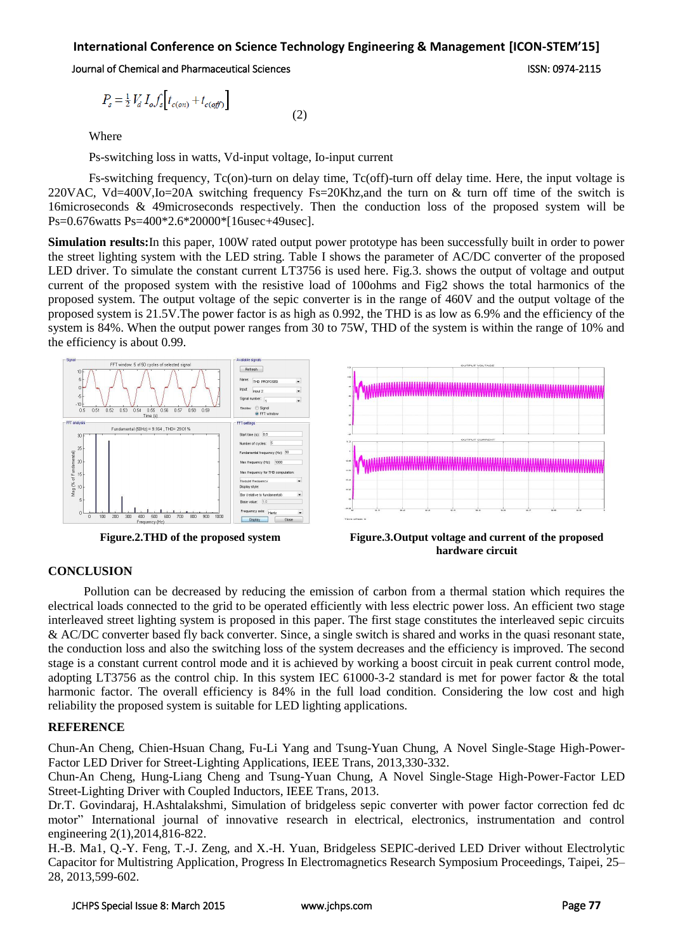## **International Conference on Science Technology Engineering & Management [ICON-STEM'15]**

(2)

### Journal of Chemical and Pharmaceutical Sciences ISSN: 0974-2115

$$
P_s = \frac{1}{2} V_d I_o f_s \left[ t_{c(o)} + t_{c(o)} \right]
$$

Where

Ps-switching loss in watts, Vd-input voltage, Io-input current

Fs-switching frequency, Tc(on)-turn on delay time, Tc(off)-turn off delay time. Here, the input voltage is 220VAC, Vd=400V,Io=20A switching frequency Fs=20Khz,and the turn on & turn off time of the switch is 16microseconds & 49microseconds respectively. Then the conduction loss of the proposed system will be Ps=0.676watts Ps=400\*2.6\*20000\*[16usec+49usec].

**Simulation results:**In this paper, 100W rated output power prototype has been successfully built in order to power the street lighting system with the LED string. Table I shows the parameter of AC/DC converter of the proposed LED driver. To simulate the constant current LT3756 is used here. Fig.3. shows the output of voltage and output current of the proposed system with the resistive load of 100ohms and Fig2 shows the total harmonics of the proposed system. The output voltage of the sepic converter is in the range of 460V and the output voltage of the proposed system is 21.5V.The power factor is as high as 0.992, the THD is as low as 6.9% and the efficiency of the system is 84%. When the output power ranges from 30 to 75W, THD of the system is within the range of 10% and the efficiency is about 0.99.





 **Figure.2.THD of the proposed system Figure.3.Output voltage and current of the proposed hardware circuit**

## **CONCLUSION**

Pollution can be decreased by reducing the emission of carbon from a thermal station which requires the electrical loads connected to the grid to be operated efficiently with less electric power loss. An efficient two stage interleaved street lighting system is proposed in this paper. The first stage constitutes the interleaved sepic circuits & AC/DC converter based fly back converter. Since, a single switch is shared and works in the quasi resonant state, the conduction loss and also the switching loss of the system decreases and the efficiency is improved. The second stage is a constant current control mode and it is achieved by working a boost circuit in peak current control mode, adopting LT3756 as the control chip. In this system IEC 61000-3-2 standard is met for power factor & the total harmonic factor. The overall efficiency is 84% in the full load condition. Considering the low cost and high reliability the proposed system is suitable for LED lighting applications.

## **REFERENCE**

Chun-An Cheng, Chien-Hsuan Chang, Fu-Li Yang and Tsung-Yuan Chung, A Novel Single-Stage High-Power-Factor LED Driver for Street-Lighting Applications, IEEE Trans, 2013,330-332.

Chun-An Cheng, Hung-Liang Cheng and Tsung-Yuan Chung, A Novel Single-Stage High-Power-Factor LED Street-Lighting Driver with Coupled Inductors, IEEE Trans, 2013.

Dr.T. Govindaraj, H.Ashtalakshmi, Simulation of bridgeless sepic converter with power factor correction fed dc motor" International journal of innovative research in electrical, electronics, instrumentation and control engineering 2(1),2014,816-822.

H.-B. Ma1, Q.-Y. Feng, T.-J. Zeng, and X.-H. Yuan, Bridgeless SEPIC-derived LED Driver without Electrolytic Capacitor for Multistring Application, Progress In Electromagnetics Research Symposium Proceedings, Taipei, 25– 28, 2013,599-602.